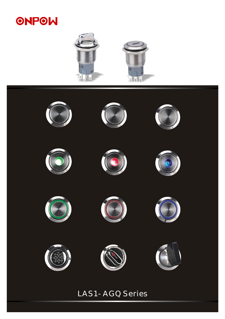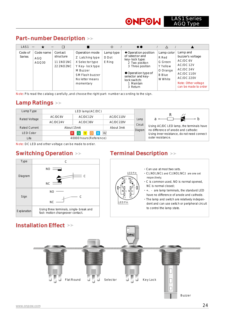## Part-number Description

| LAS <sub>1</sub>         | $\qquad \qquad$           | ⊓                                                    |                                                                                                                                        | ♦                            | $\bullet$                                                                                                                                                                             |                                                                                    |                                                                                                                                                            |
|--------------------------|---------------------------|------------------------------------------------------|----------------------------------------------------------------------------------------------------------------------------------------|------------------------------|---------------------------------------------------------------------------------------------------------------------------------------------------------------------------------------|------------------------------------------------------------------------------------|------------------------------------------------------------------------------------------------------------------------------------------------------------|
| Code of<br><b>Series</b> | Code name<br>AGQ<br>AGQ30 | Contact<br>structure<br>11 1 NO 1 N C<br>22 2 NO2 NC | Operation mode<br>Z Latching type<br>X Selector type<br>Y Key-lock type<br>M Buzzer<br>SM Flash buzzer<br>No letter means<br>momentary | Lamp type<br>D Dot<br>E Ring | ♦ Operation position<br>of selector and<br>key-lock type:<br>2 Two position<br>3 Three position<br>● Operation type of<br>selector and key-<br>lock switch:<br>1 Maintain<br>3 Return | Lamp color<br>R Red<br>G Green<br>Y Yellow<br>O Orange<br><b>B</b> Blue<br>W White | Lamp and<br>buzzer's voltage<br>AC/DC 6V<br>AC/DC 12V<br>AC/DC 24V<br><b>AC/DC110V</b><br><b>AC/DC 220V</b><br>Note: Other voltage<br>can be made to order |

Note: Pls read the catalog carefully ,and choose the right part-n umber according to the sign.

# Lamp Ratings

| Lamp Type        | LED lamp(AC/DC)         |                         |           |                                             |                                                                                 |  |
|------------------|-------------------------|-------------------------|-----------|---------------------------------------------|---------------------------------------------------------------------------------|--|
| Rated Voltage    | AC/DC6V                 | AC/DC12V                | AC/DC110V | Lamp                                        |                                                                                 |  |
|                  | AC/DC24V                | AC/DC36V                | AC/DC220V | Circuit                                     |                                                                                 |  |
| Rated Current    | About 3mA<br>About 15mA |                         |           | Diagram                                     | Using AC/DC LED lamp, the terminals have<br>no difference of anode and cathode: |  |
| <b>LED Color</b> |                         | W                       |           | Using inner resistance, do not need connect |                                                                                 |  |
| Life             |                         | 40000 hours (Reference) |           | outer resistance.                           |                                                                                 |  |

Note: DC LED and other voltage can be made to order.



## Switching Operation >> Terminal Description >>

 $N_{c2}$ NO<sup>1</sup> NO<sup>2</sup>  $C_1$   $C_2$ ។ ា-⊡ LED Pin LED Pin ·Can use at most two sets.  $\cdot$  C1, NO1, NC1 and C2, NO2, NC2 are one set ·C is common used, NO is normal opened, NC is normal closed; ·+、- are lamp terminals, the standard LED have no difference of anode and cathode. ·The lamp and switch are relatively independent and can use switch or peripheral circuit to control the lamp state. respectively;